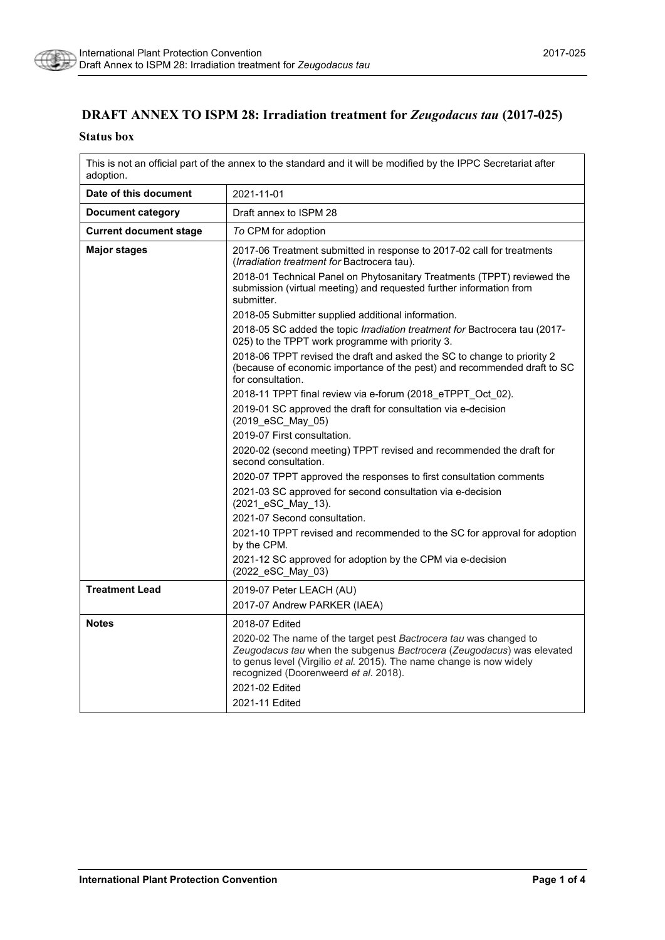

# **DRAFT ANNEX TO ISPM 28: Irradiation treatment for** *Zeugodacus tau* **(2017-025)**

#### **Status box**

This is not an official part of the annex to the standard and it will be modified by the IPPC Secretariat after adoption.

| Date of this document         | 2021-11-01                                                                                                                                                                                                                                                  |
|-------------------------------|-------------------------------------------------------------------------------------------------------------------------------------------------------------------------------------------------------------------------------------------------------------|
| <b>Document category</b>      | Draft annex to ISPM 28                                                                                                                                                                                                                                      |
| <b>Current document stage</b> | To CPM for adoption                                                                                                                                                                                                                                         |
| <b>Major stages</b>           | 2017-06 Treatment submitted in response to 2017-02 call for treatments<br>(Irradiation treatment for Bactrocera tau).                                                                                                                                       |
|                               | 2018-01 Technical Panel on Phytosanitary Treatments (TPPT) reviewed the<br>submission (virtual meeting) and requested further information from<br>submitter.                                                                                                |
|                               | 2018-05 Submitter supplied additional information.                                                                                                                                                                                                          |
|                               | 2018-05 SC added the topic <i>Irradiation treatment for</i> Bactrocera tau (2017-<br>025) to the TPPT work programme with priority 3.                                                                                                                       |
|                               | 2018-06 TPPT revised the draft and asked the SC to change to priority 2<br>(because of economic importance of the pest) and recommended draft to SC<br>for consultation.                                                                                    |
|                               | 2018-11 TPPT final review via e-forum (2018_eTPPT_Oct_02).                                                                                                                                                                                                  |
|                               | 2019-01 SC approved the draft for consultation via e-decision<br>(2019_eSC_May_05)                                                                                                                                                                          |
|                               | 2019-07 First consultation.                                                                                                                                                                                                                                 |
|                               | 2020-02 (second meeting) TPPT revised and recommended the draft for<br>second consultation.                                                                                                                                                                 |
|                               | 2020-07 TPPT approved the responses to first consultation comments                                                                                                                                                                                          |
|                               | 2021-03 SC approved for second consultation via e-decision<br>(2021_eSC_May_13).                                                                                                                                                                            |
|                               | 2021-07 Second consultation.                                                                                                                                                                                                                                |
|                               | 2021-10 TPPT revised and recommended to the SC for approval for adoption<br>by the CPM.                                                                                                                                                                     |
|                               | 2021-12 SC approved for adoption by the CPM via e-decision<br>(2022 eSC May 03)                                                                                                                                                                             |
| <b>Treatment Lead</b>         | 2019-07 Peter LEACH (AU)                                                                                                                                                                                                                                    |
|                               | 2017-07 Andrew PARKER (IAEA)                                                                                                                                                                                                                                |
| <b>Notes</b>                  | 2018-07 Edited                                                                                                                                                                                                                                              |
|                               | 2020-02 The name of the target pest Bactrocera tau was changed to<br>Zeugodacus tau when the subgenus Bactrocera (Zeugodacus) was elevated<br>to genus level (Virgilio et al. 2015). The name change is now widely<br>recognized (Doorenweerd et al. 2018). |
|                               | 2021-02 Fdited                                                                                                                                                                                                                                              |
|                               | 2021-11 Edited                                                                                                                                                                                                                                              |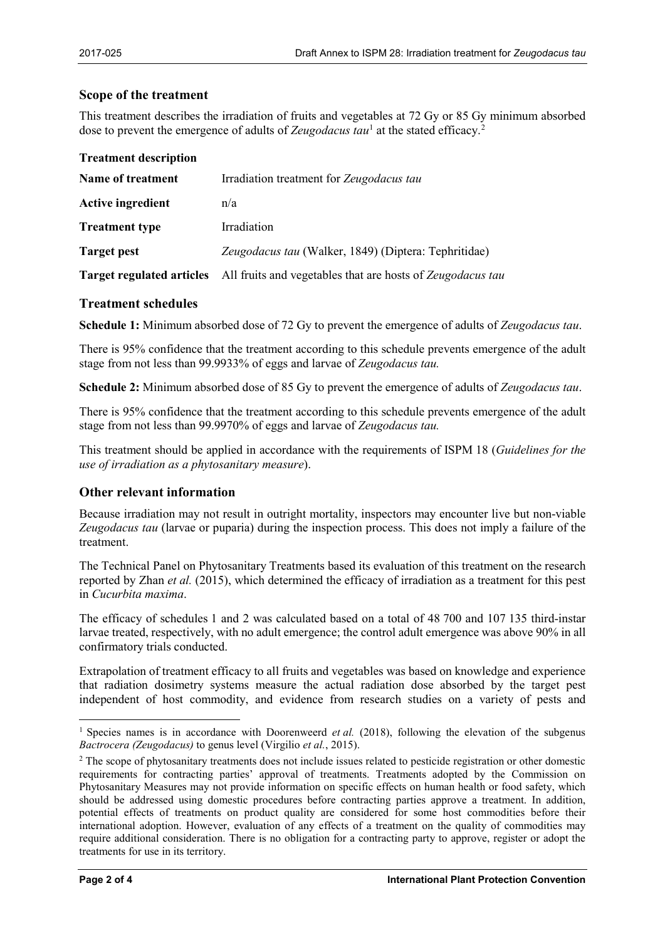### **Scope of the treatment**

This treatment describes the irradiation of fruits and vegetables at 72 Gy or 85 Gy minimum absorbed dose to prevent the emergence of adults of *Zeugodacus tau*<sup>[1](#page-1-0)</sup> at the stated efficacy.<sup>[2](#page-1-1)</sup>

| <b>Treatment description</b>     |                                                            |
|----------------------------------|------------------------------------------------------------|
| Name of treatment                | Irradiation treatment for Zeugodacus tau                   |
| <b>Active ingredient</b>         | n/a                                                        |
| <b>Treatment type</b>            | Irradiation                                                |
| <b>Target pest</b>               | Zeugodacus tau (Walker, 1849) (Diptera: Tephritidae)       |
| <b>Target regulated articles</b> | All fruits and vegetables that are hosts of Zeugodacus tau |

### **Treatment schedules**

**Schedule 1:** Minimum absorbed dose of 72 Gy to prevent the emergence of adults of *Zeugodacus tau*.

There is 95% confidence that the treatment according to this schedule prevents emergence of the adult stage from not less than 99.9933% of eggs and larvae of *Zeugodacus tau.*

**Schedule 2:** Minimum absorbed dose of 85 Gy to prevent the emergence of adults of *Zeugodacus tau*.

There is 95% confidence that the treatment according to this schedule prevents emergence of the adult stage from not less than 99.9970% of eggs and larvae of *Zeugodacus tau.*

This treatment should be applied in accordance with the requirements of ISPM 18 (*Guidelines for the use of irradiation as a phytosanitary measure*).

## **Other relevant information**

Because irradiation may not result in outright mortality, inspectors may encounter live but non-viable *Zeugodacus tau* (larvae or puparia) during the inspection process. This does not imply a failure of the treatment.

The Technical Panel on Phytosanitary Treatments based its evaluation of this treatment on the research reported by Zhan *et al.* (2015), which determined the efficacy of irradiation as a treatment for this pest in *Cucurbita maxima*.

The efficacy of schedules 1 and 2 was calculated based on a total of 48 700 and 107 135 third-instar larvae treated, respectively, with no adult emergence; the control adult emergence was above 90% in all confirmatory trials conducted.

Extrapolation of treatment efficacy to all fruits and vegetables was based on knowledge and experience that radiation dosimetry systems measure the actual radiation dose absorbed by the target pest independent of host commodity, and evidence from research studies on a variety of pests and

<span id="page-1-0"></span> <sup>1</sup> Species names is in accordance with Doorenweerd *et al.* (2018), following the elevation of the subgenus *Bactrocera (Zeugodacus)* to genus level (Virgilio *et al.*, 2015).

<span id="page-1-1"></span><sup>&</sup>lt;sup>2</sup> The scope of phytosanitary treatments does not include issues related to pesticide registration or other domestic requirements for contracting parties' approval of treatments. Treatments adopted by the Commission on Phytosanitary Measures may not provide information on specific effects on human health or food safety, which should be addressed using domestic procedures before contracting parties approve a treatment. In addition, potential effects of treatments on product quality are considered for some host commodities before their international adoption. However, evaluation of any effects of a treatment on the quality of commodities may require additional consideration. There is no obligation for a contracting party to approve, register or adopt the treatments for use in its territory.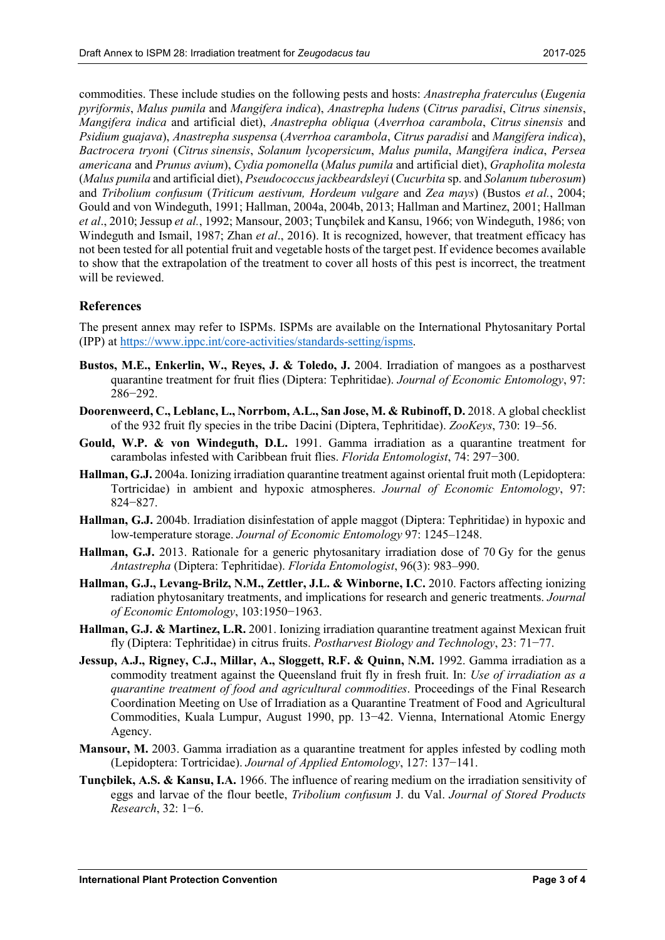commodities. These include studies on the following pests and hosts: *Anastrepha fraterculus* (*Eugenia pyriformis*, *Malus pumila* and *Mangifera indica*), *Anastrepha ludens* (*Citrus paradisi*, *Citrus sinensis*, *Mangifera indica* and artificial diet), *Anastrepha obliqua* (*Averrhoa carambola*, *Citrus sinensis* and *Psidium guajava*), *Anastrepha suspensa* (*Averrhoa carambola*, *Citrus paradisi* and *Mangifera indica*), *Bactrocera tryoni* (*Citrus sinensis*, *Solanum lycopersicum*, *Malus pumila*, *Mangifera indica*, *Persea americana* and *Prunus avium*), *Cydia pomonella* (*Malus pumila* and artificial diet), *Grapholita molesta* (*Malus pumila* and artificial diet), *Pseudococcus jackbeardsleyi* (*Cucurbita* sp. and *Solanum tuberosum*) and *Tribolium confusum* (*Triticum aestivum, Hordeum vulgare* and *Zea mays*) (Bustos *et al.*, 2004; Gould and von Windeguth, 1991; Hallman, 2004a, 2004b, 2013; Hallman and Martinez, 2001; Hallman *et al*., 2010; Jessup *et al.*, 1992; Mansour, 2003; Tunçbilek and Kansu, 1966; von Windeguth, 1986; von Windeguth and Ismail, 1987; Zhan *et al*., 2016). It is recognized, however, that treatment efficacy has not been tested for all potential fruit and vegetable hosts of the target pest. If evidence becomes available to show that the extrapolation of the treatment to cover all hosts of this pest is incorrect, the treatment will be reviewed.

## **References**

The present annex may refer to ISPMs. ISPMs are available on the International Phytosanitary Portal (IPP) at [https://www.ippc.int/core-activities/standards-setting/ispms.](https://www.ippc.int/core-activities/standards-setting/ispms)

- **Bustos, M.E., Enkerlin, W., Reyes, J. & Toledo, J.** 2004. Irradiation of mangoes as a postharvest quarantine treatment for fruit flies (Diptera: Tephritidae). *Journal of Economic Entomology*, 97: 286−292.
- **Doorenweerd, C., Leblanc, L., Norrbom, A.L., San Jose, M. & Rubinoff, D.** 2018. A global checklist of the 932 fruit fly species in the tribe Dacini (Diptera, Tephritidae). *ZooKeys*, 730: 19–56.
- **Gould, W.P. & von Windeguth, D.L.** 1991. Gamma irradiation as a quarantine treatment for carambolas infested with Caribbean fruit flies. *Florida Entomologist*, 74: 297−300.
- **Hallman, G.J.** 2004a. Ionizing irradiation quarantine treatment against oriental fruit moth (Lepidoptera: Tortricidae) in ambient and hypoxic atmospheres. *Journal of Economic Entomology*, 97: 824−827.
- **Hallman, G.J.** 2004b. Irradiation disinfestation of apple maggot (Diptera: Tephritidae) in hypoxic and low-temperature storage. *Journal of Economic Entomology* 97: 1245–1248.
- **Hallman, G.J.** 2013. Rationale for a generic phytosanitary irradiation dose of 70 Gy for the genus *Antastrepha* (Diptera: Tephritidae). *Florida Entomologist*, 96(3): 983–990.
- **Hallman, G.J., Levang-Brilz, N.M., Zettler, J.L. & Winborne, I.C.** 2010. Factors affecting ionizing radiation phytosanitary treatments, and implications for research and generic treatments. *Journal of Economic Entomology*, 103:1950−1963.
- **Hallman, G.J. & Martinez, L.R.** 2001. Ionizing irradiation quarantine treatment against Mexican fruit fly (Diptera: Tephritidae) in citrus fruits. *Postharvest Biology and Technology*, 23: 71−77.
- **Jessup, A.J., Rigney, C.J., Millar, A., Sloggett, R.F. & Quinn, N.M.** 1992. Gamma irradiation as a commodity treatment against the Queensland fruit fly in fresh fruit. In: *Use of irradiation as a quarantine treatment of food and agricultural commodities*. Proceedings of the Final Research Coordination Meeting on Use of Irradiation as a Quarantine Treatment of Food and Agricultural Commodities, Kuala Lumpur, August 1990, pp. 13−42. Vienna, International Atomic Energy Agency.
- **Mansour, M.** 2003. Gamma irradiation as a quarantine treatment for apples infested by codling moth (Lepidoptera: Tortricidae). *Journal of Applied Entomology*, 127: 137−141.
- **Tunçbilek, A.S. & Kansu, I.A.** 1966. The influence of rearing medium on the irradiation sensitivity of eggs and larvae of the flour beetle, *Tribolium confusum* J. du Val. *Journal of Stored Products Research*, 32: 1−6.